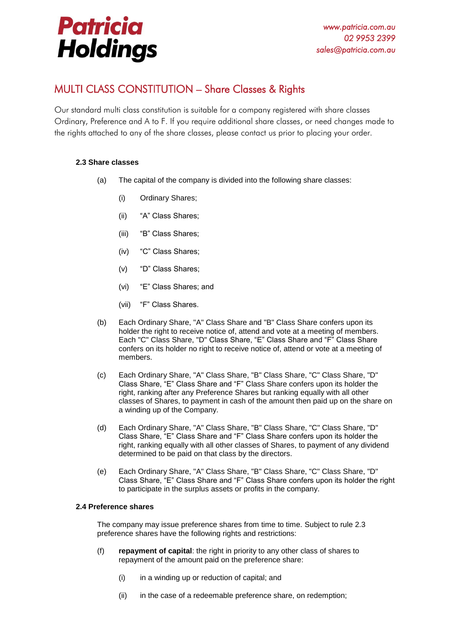## **Patricia Holdings**

## MULTI CLASS CONSTITUTION – Share Classes & Rights

Our standard multi class constitution is suitable for a company registered with share classes Ordinary, Preference and A to F. If you require additional share classes, or need changes made to the rights attached to any of the share classes, please contact us prior to placing your order.

## **2.3 Share classes**

- (a) The capital of the company is divided into the following share classes:
	- (i) Ordinary Shares;
	- (ii) "A" Class Shares;
	- (iii) "B" Class Shares;
	- (iv) "C" Class Shares;
	- (v) "D" Class Shares;
	- (vi) "E" Class Shares; and
	- (vii) "F" Class Shares.
- (b) Each Ordinary Share, "A" Class Share and "B" Class Share confers upon its holder the right to receive notice of, attend and vote at a meeting of members. Each "C" Class Share, "D" Class Share, "E" Class Share and "F" Class Share confers on its holder no right to receive notice of, attend or vote at a meeting of members.
- (c) Each Ordinary Share, "A" Class Share, "B" Class Share, "C" Class Share, "D" Class Share, "E" Class Share and "F" Class Share confers upon its holder the right, ranking after any Preference Shares but ranking equally with all other classes of Shares, to payment in cash of the amount then paid up on the share on a winding up of the Company.
- (d) Each Ordinary Share, "A" Class Share, "B" Class Share, "C" Class Share, "D" Class Share, "E" Class Share and "F" Class Share confers upon its holder the right, ranking equally with all other classes of Shares, to payment of any dividend determined to be paid on that class by the directors.
- (e) Each Ordinary Share, "A" Class Share, "B" Class Share, "C" Class Share, "D" Class Share, "E" Class Share and "F" Class Share confers upon its holder the right to participate in the surplus assets or profits in the company.

## **2.4 Preference shares**

The company may issue preference shares from time to time. Subject to rule 2.3 preference shares have the following rights and restrictions:

- (f) **repayment of capital**: the right in priority to any other class of shares to repayment of the amount paid on the preference share:
	- $(i)$  in a winding up or reduction of capital; and
	- (ii) in the case of a redeemable preference share, on redemption;